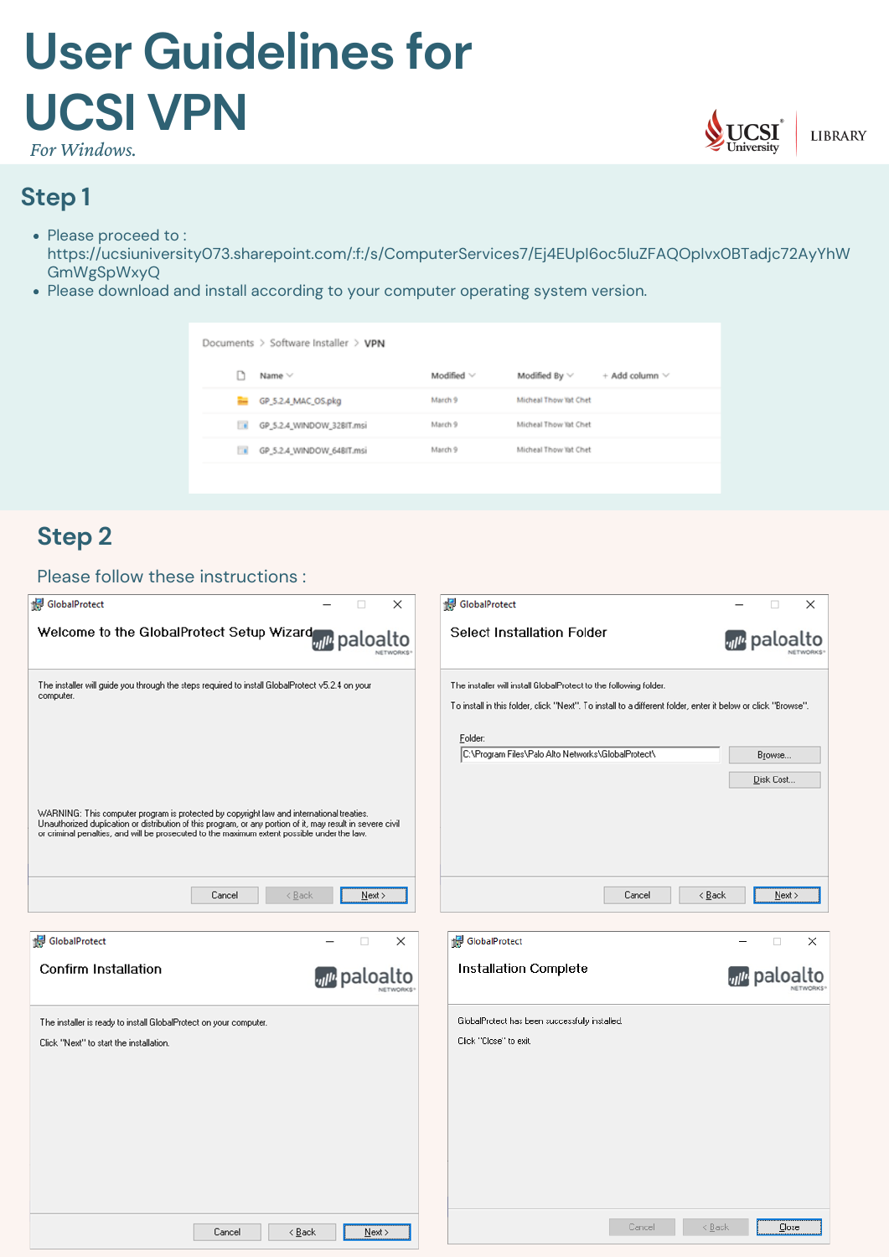# **Step 1**

- Please proceed to: [https://ucsiuniversity073.sharepoint.com/:f:/s/ComputerServices7/Ej4EUpI6oc5IuZFAQOpIvx0BTadjc72AyYhW](https://ucsiuniversity073.sharepoint.com/:f:/s/ComputerServices7/Ej4EUpI6oc5IuZFAQOpIvx0BTadjc72AyYhWGmWgSpWxyQ) [GmWgSpWxyQ](https://ucsiuniversity073.sharepoint.com/:f:/s/ComputerServices7/Ej4EUpI6oc5IuZFAQOpIvx0BTadjc72AyYhWGmWgSpWxyQ)
- Please download and install according to your computer operating system version.

| Documents $\geq$ Software Installer $\geq$ VPN |                           |                 |                       |                       |
|------------------------------------------------|---------------------------|-----------------|-----------------------|-----------------------|
|                                                | Name Y                    | Modified $\vee$ | Modified By $\vee$    | $+$ Add column $\vee$ |
| <b>Part</b>                                    | GP_5.2.4_MAC_OS.pkg       | March 9         | Micheal Thow Tat Chet |                       |
| <b>Ta</b>                                      | GP_5.2.4_WINDOW_32BIT.msi | March 9         | Micheal Thow Yat Chet |                       |
| Πø                                             | GP_5.2.4_WINDOW_648IT.msi | March 9         | Micheal Thow Tat Chet |                       |
|                                                |                           |                 |                       |                       |



# **User Guidelines for UCSI VPN**

# **Step 2**

#### Please follow these instructions :

| <b>H</b> GlobalProtect                                  |           | 图 GlobalProtect            |                          |          |
|---------------------------------------------------------|-----------|----------------------------|--------------------------|----------|
| Welcome to the GlobalProtect Setup Wizard will paloalto | NETWORKS* | Select Installation Folder | <b><i>m</i></b> paloalto | NETWORKS |



| The installer will guide you through the steps required to install GlobalProtect v5.2.4 on your<br>computer.                                                                                                                                    | The installer will install GlobalProtect to the following folder.<br>To install in this folder, click "Next". To install to a different folder, enter it below or click "Browse". |
|-------------------------------------------------------------------------------------------------------------------------------------------------------------------------------------------------------------------------------------------------|-----------------------------------------------------------------------------------------------------------------------------------------------------------------------------------|
|                                                                                                                                                                                                                                                 | Eolder:                                                                                                                                                                           |
|                                                                                                                                                                                                                                                 | C:\Program Files\Palo Alto Networks\GlobalProtect\<br>Browse                                                                                                                      |
| WARNING: This computer program is protected by copyright law and international treaties.                                                                                                                                                        | Disk Cost                                                                                                                                                                         |
| Unauthorized duplication or distribution of this program, or any portion of it, may result in severe civil<br>or criminal penalties, and will be prosecuted to the maximum extent possible under the law.<br>$\leq$ Back<br>Cancel<br>$N$ ext > | $\leq$ Back<br>Cancel<br>Next                                                                                                                                                     |
| GlobalProtect<br>$\times$<br>$\Box$                                                                                                                                                                                                             | GlobalProtect<br>$\times$<br>$\Box$                                                                                                                                               |
| Confirm Installation<br><sub>vil<sup>u</sup> paloalto</sub><br>NETWORKS                                                                                                                                                                         | <b>Installation Complete</b><br><sub>vil<sup>u</sup></sub> paloalto                                                                                                               |
| The installer is ready to install GlobalProtect on your computer.                                                                                                                                                                               | GlobalProtect has been successfully installed.                                                                                                                                    |
| Click "Next" to start the installation.                                                                                                                                                                                                         | Click "Close" to exit.                                                                                                                                                            |
|                                                                                                                                                                                                                                                 |                                                                                                                                                                                   |
|                                                                                                                                                                                                                                                 |                                                                                                                                                                                   |
| < <u>B</u> ack<br>Cancel<br>$N$ ext >                                                                                                                                                                                                           | Cancel<br>$\leq$ Back<br>$C$ lose                                                                                                                                                 |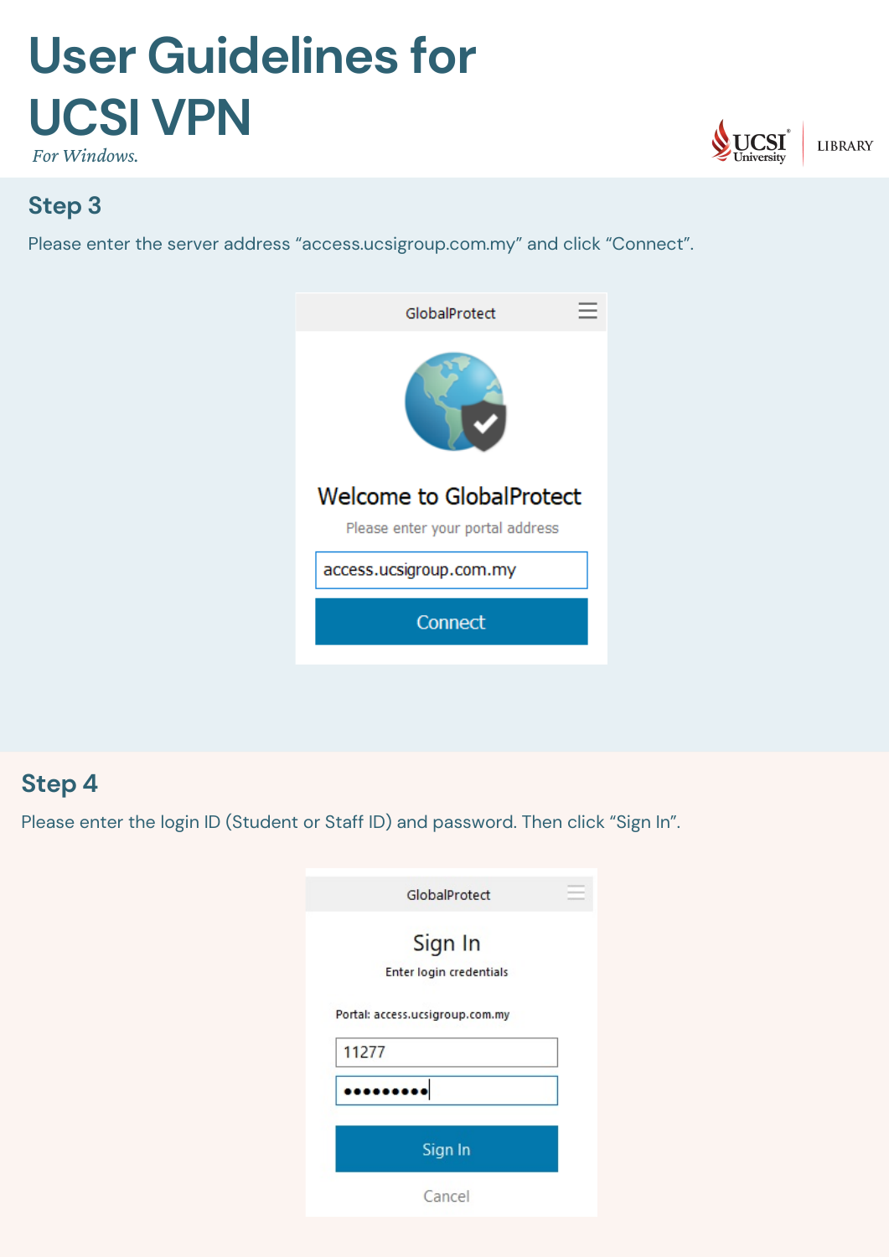# **Step 3**

Please enter the server address "access.ucsigroup.com.my" and click "Connect".





# **User Guidelines for UCSI VPN**

### **Step 4**

Please enter the login ID (Student or Staff ID) and password. Then click "Sign In".

| GlobalProtect                            |  |
|------------------------------------------|--|
| Sign In<br>Enter login credentials       |  |
| Portal: access.ucsigroup.com.my<br>11277 |  |
|                                          |  |
| Sign In                                  |  |
| Cancel                                   |  |

*For Windows.*